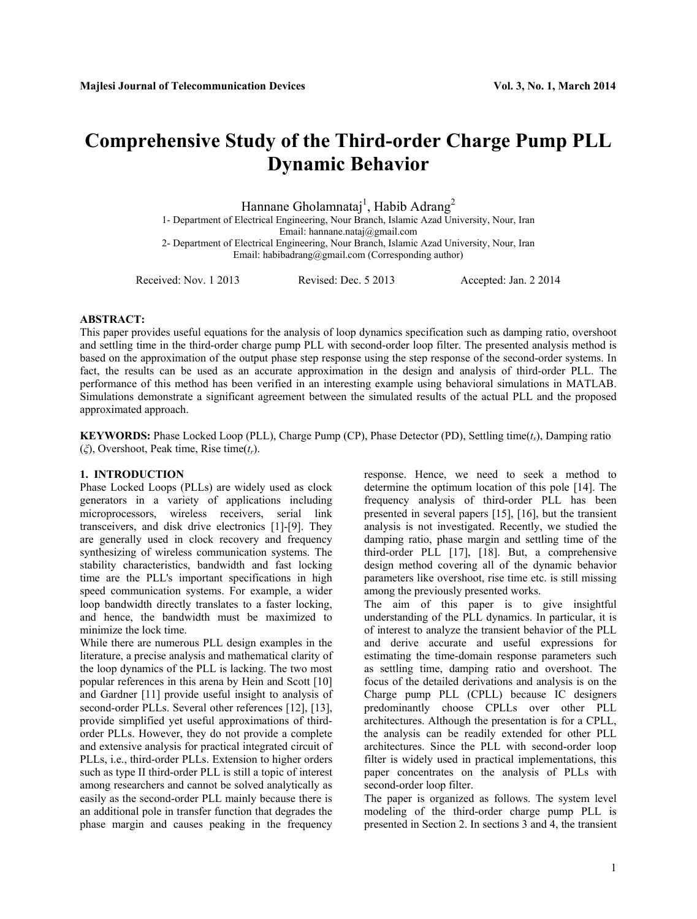# **Comprehensive Study of the Third-order Charge Pump PLL Dynamic Behavior**

Hannane Gholamnataj<sup>1</sup>, Habib Adrang<sup>2</sup><br>1- Department of Electrical Engineering, Nour Branch, Islamic Azad University, Nour, Iran

Email: hannane.nataj@gmail.com

2- Department of Electrical Engineering, Nour Branch, Islamic Azad University, Nour, Iran Email: habibadrang@gmail.com (Corresponding author)

Received: Nov. 1 2013 Revised: Dec. 5 2013 Accepted: Jan. 2 2014

# **ABSTRACT:**

This paper provides useful equations for the analysis of loop dynamics specification such as damping ratio, overshoot and settling time in the third-order charge pump PLL with second-order loop filter. The presented analysis method is based on the approximation of the output phase step response using the step response of the second-order systems. In fact, the results can be used as an accurate approximation in the design and analysis of third-order PLL. The performance of this method has been verified in an interesting example using behavioral simulations in MATLAB. Simulations demonstrate a significant agreement between the simulated results of the actual PLL and the proposed approximated approach.

**KEYWORDS:** Phase Locked Loop (PLL), Charge Pump (CP), Phase Detector (PD), Settling time(*ts*), Damping ratio (*ξ*), Overshoot, Peak time, Rise time(*tr*).

# **1. INTRODUCTION**

Phase Locked Loops (PLLs) are widely used as clock generators in a variety of applications including microprocessors, wireless receivers, serial link transceivers, and disk drive electronics [1]-[9]. They are generally used in clock recovery and frequency synthesizing of wireless communication systems. The stability characteristics, bandwidth and fast locking time are the PLL's important specifications in high speed communication systems. For example, a wider loop bandwidth directly translates to a faster locking, and hence, the bandwidth must be maximized to minimize the lock time.

While there are numerous PLL design examples in the literature, a precise analysis and mathematical clarity of the loop dynamics of the PLL is lacking. The two most popular references in this arena by Hein and Scott [10] and Gardner [11] provide useful insight to analysis of second-order PLLs. Several other references [12], [13], provide simplified yet useful approximations of thirdorder PLLs. However, they do not provide a complete and extensive analysis for practical integrated circuit of PLLs, i.e., third-order PLLs. Extension to higher orders such as type II third-order PLL is still a topic of interest among researchers and cannot be solved analytically as easily as the second-order PLL mainly because there is an additional pole in transfer function that degrades the phase margin and causes peaking in the frequency

response. Hence, we need to seek a method to determine the optimum location of this pole [14]. The frequency analysis of third-order PLL has been presented in several papers [15], [16], but the transient analysis is not investigated. Recently, we studied the damping ratio, phase margin and settling time of the third-order PLL [17], [18]. But, a comprehensive design method covering all of the dynamic behavior parameters like overshoot, rise time etc. is still missing among the previously presented works.

The aim of this paper is to give insightful understanding of the PLL dynamics. In particular, it is of interest to analyze the transient behavior of the PLL and derive accurate and useful expressions for estimating the time-domain response parameters such as settling time, damping ratio and overshoot. The focus of the detailed derivations and analysis is on the Charge pump PLL (CPLL) because IC designers predominantly choose CPLLs over other PLL architectures. Although the presentation is for a CPLL, the analysis can be readily extended for other PLL architectures. Since the PLL with second-order loop filter is widely used in practical implementations, this paper concentrates on the analysis of PLLs with second-order loop filter.

The paper is organized as follows. The system level modeling of the third-order charge pump PLL is presented in Section 2. In sections 3 and 4, the transient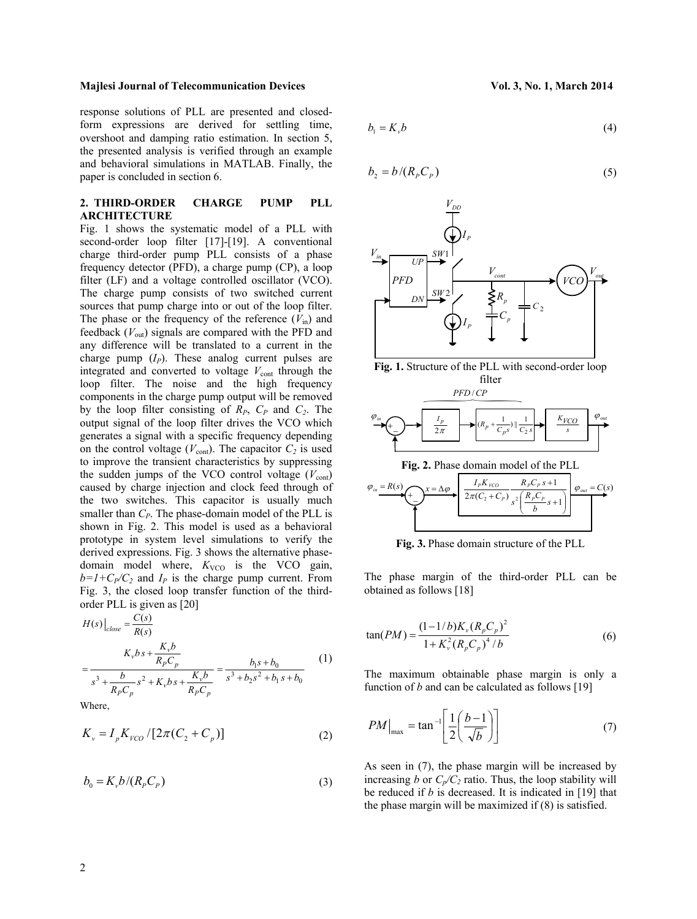response solutions of PLL are presented and closedform expressions are derived for settling time, overshoot and damping ratio estimation. In section 5, the presented analysis is verified through an example and behavioral simulations in MATLAB. Finally, the paper is concluded in section 6.

# **2. THIRD-ORDER CHARGE PUMP PLL ARCHITECTURE**

Fig. 1 shows the systematic model of a PLL with second-order loop filter [17]-[19]. A conventional charge third-order pump PLL consists of a phase frequency detector (PFD), a charge pump (CP), a loop filter (LF) and a voltage controlled oscillator (VCO). The charge pump consists of two switched current sources that pump charge into or out of the loop filter. The phase or the frequency of the reference  $(V_{in})$  and feedback (*V*out) signals are compared with the PFD and any difference will be translated to a current in the charge pump  $(I_P)$ . These analog current pulses are integrated and converted to voltage  $V_{\text{cont}}$  through the loop filter. The noise and the high frequency components in the charge pump output will be removed by the loop filter consisting of  $R_P$ ,  $C_P$  and  $C_2$ . The output signal of the loop filter drives the VCO which generates a signal with a specific frequency depending on the control voltage ( $V_{\text{cont}}$ ). The capacitor  $C_2$  is used to improve the transient characteristics by suppressing the sudden jumps of the VCO control voltage  $(V_{\text{cont}})$ caused by charge injection and clock feed through of the two switches. This capacitor is usually much smaller than  $C_P$ . The phase-domain model of the PLL is shown in Fig. 2. This model is used as a behavioral prototype in system level simulations to verify the derived expressions. Fig. 3 shows the alternative phasedomain model where,  $K_{VCO}$  is the VCO gain,  $b=1+C_P/C_2$  and  $I_P$  is the charge pump current. From Fig. 3, the closed loop transfer function of the thirdorder PLL is given as [20]

$$
H(s)\Big|_{close} = \frac{C(s)}{R(s)}
$$
  
= 
$$
\frac{K_{\gamma}bs + \frac{K_{\gamma}b}{R_{P}C_{p}}}{s^{3} + \frac{b}{R_{P}C_{p}}s^{2} + K_{\gamma}bs + \frac{K_{\gamma}b}{R_{P}C_{p}}} = \frac{b_{1}s + b_{0}}{s^{3} + b_{2}s^{2} + b_{1}s + b_{0}}
$$
 (1)

Where,

$$
K_{\nu} = I_p K_{\nu CO} / [2\pi (C_2 + C_p)]
$$
 (2)

$$
b_0 = K_v b / (R_p C_p) \tag{3}
$$

$$
b_1 = K_v b \tag{4}
$$

$$
b_2 = b / (R_p C_p) \tag{5}
$$





**Fig. 3.** Phase domain structure of the PLL

The phase margin of the third-order PLL can be obtained as follows [18]

$$
\tan(PM) = \frac{(1 - 1/b)K_v (R_p C_p)^2}{1 + K_v^2 (R_p C_p)^4 / b}
$$
 (6)

The maximum obtainable phase margin is only a function of *b* and can be calculated as follows [19]

$$
PM\big|_{\text{max}} = \tan^{-1} \left[ \frac{1}{2} \left( \frac{b-1}{\sqrt{b}} \right) \right] \tag{7}
$$

As seen in (7), the phase margin will be increased by increasing *b* or  $C_p/C_2$  ratio. Thus, the loop stability will be reduced if *b* is decreased. It is indicated in [19] that the phase margin will be maximized if (8) is satisfied.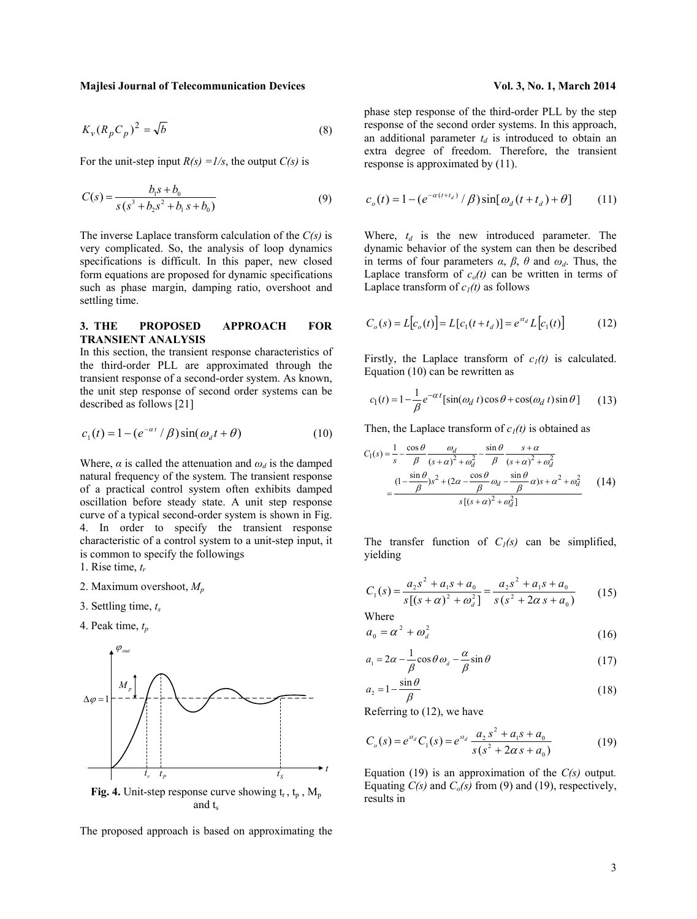$$
K_v (R_p C_p)^2 = \sqrt{b}
$$
 (8)

For the unit-step input  $R(s) = 1/s$ , the output  $C(s)$  is

$$
C(s) = \frac{b_1 s + b_0}{s (s^3 + b_2 s^2 + b_1 s + b_0)}
$$
(9)

The inverse Laplace transform calculation of the *C(s)* is very complicated. So, the analysis of loop dynamics specifications is difficult. In this paper, new closed form equations are proposed for dynamic specifications such as phase margin, damping ratio, overshoot and settling time.

# **3. THE PROPOSED APPROACH FOR TRANSIENT ANALYSIS**

In this section, the transient response characteristics of the third-order PLL are approximated through the transient response of a second-order system. As known, the unit step response of second order systems can be described as follows [21]

$$
c_1(t) = 1 - \left(e^{-\alpha t} / \beta\right) \sin(\omega_d t + \theta) \tag{10}
$$

Where,  $\alpha$  is called the attenuation and  $\omega_d$  is the damped natural frequency of the system. The transient response of a practical control system often exhibits damped oscillation before steady state. A unit step response curve of a typical second-order system is shown in Fig. 4. In order to specify the transient response characteristic of a control system to a unit-step input, it is common to specify the followings

1. Rise time, *tr*

- 2. Maximum overshoot, *Mp*
- 3. Settling time, *ts*
- 4. Peak time,  $t_n$



and t.

The proposed approach is based on approximating the

phase step response of the third-order PLL by the step response of the second order systems. In this approach, an additional parameter  $t_d$  is introduced to obtain an extra degree of freedom. Therefore, the transient response is approximated by (11).

$$
c_o(t) = 1 - \left(e^{-\alpha(t+t_d)} / \beta\right) \sin[\omega_d(t+t_d) + \theta] \tag{11}
$$

Where,  $t_d$  is the new introduced parameter. The dynamic behavior of the system can then be described in terms of four parameters *α*, *β*, *θ* and *ωd*. Thus, the Laplace transform of  $c<sub>o</sub>(t)$  can be written in terms of Laplace transform of  $c_1(t)$  as follows

$$
C_o(s) = L[c_o(t)] = L[c_1(t + t_d)] = e^{st_d} L[c_1(t)]
$$
 (12)

Firstly, the Laplace transform of  $c_1(t)$  is calculated. Equation (10) can be rewritten as

$$
c_1(t) = 1 - \frac{1}{\beta} e^{-\alpha t} [\sin(\omega_d t) \cos \theta + \cos(\omega_d t) \sin \theta]
$$
 (13)

Then, the Laplace transform of  $c_1(t)$  is obtained as

$$
C_1(s) = \frac{1}{s} - \frac{\cos\theta}{\beta} \frac{\omega_d}{(s+\alpha)^2 + \omega_d^2} - \frac{\sin\theta}{\beta} \frac{s+\alpha}{(s+\alpha)^2 + \omega_d^2}
$$

$$
= \frac{(1-\frac{\sin\theta}{\beta})s^2 + (2\alpha - \frac{\cos\theta}{\beta}\omega_d - \frac{\sin\theta}{\beta}\alpha)s + \alpha^2 + \omega_d^2}{s[(s+\alpha)^2 + \omega_d^2]}
$$
(14)

The transfer function of  $C_l(s)$  can be simplified, yielding

$$
C_1(s) = \frac{a_2 s^2 + a_1 s + a_0}{s \left[ (s + \alpha)^2 + \omega_d^2 \right]} = \frac{a_2 s^2 + a_1 s + a_0}{s \left( s^2 + 2\alpha s + a_0 \right)} \tag{15}
$$

Where

$$
a_0 = \alpha^2 + \omega_d^2 \tag{16}
$$

$$
a_1 = 2\alpha - \frac{1}{\beta}\cos\theta \omega_d - \frac{\alpha}{\beta}\sin\theta \tag{17}
$$

$$
a_2 = 1 - \frac{\sin \theta}{\beta} \tag{18}
$$

Referring to (12), we have

$$
C_o(s) = e^{st_d} C_1(s) = e^{st_d} \frac{a_2 s^2 + a_1 s + a_0}{s(s^2 + 2\alpha s + a_0)}
$$
(19)

Equation (19) is an approximation of the *C(s)* output*.* Equating  $C(s)$  and  $C_o(s)$  from (9) and (19), respectively, results in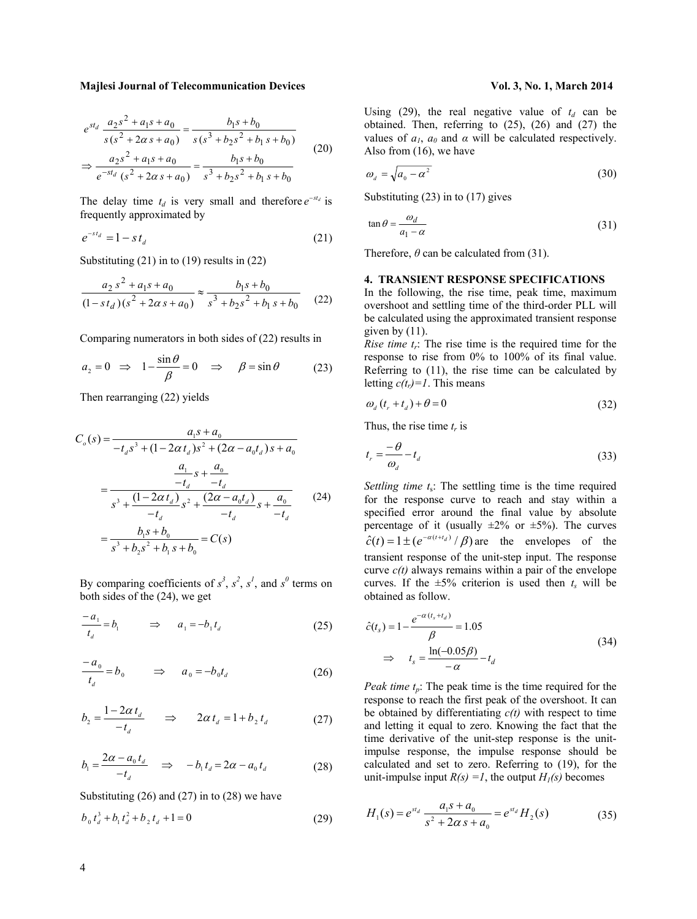$$
e^{st_d} \frac{a_2 s^2 + a_1 s + a_0}{s(s^2 + 2\alpha s + a_0)} = \frac{b_1 s + b_0}{s(s^3 + b_2 s^2 + b_1 s + b_0)}
$$
  
\n
$$
\Rightarrow \frac{a_2 s^2 + a_1 s + a_0}{e^{-st_d} (s^2 + 2\alpha s + a_0)} = \frac{b_1 s + b_0}{s^3 + b_2 s^2 + b_1 s + b_0}
$$
(20)

The delay time  $t_d$  is very small and therefore  $e^{-st_d}$  is frequently approximated by

$$
e^{-st_d} = 1 - st_d \tag{21}
$$

Substituting (21) in to (19) results in (22)

$$
\frac{a_2 s^2 + a_1 s + a_0}{(1 - s t_d)(s^2 + 2\alpha s + a_0)} \approx \frac{b_1 s + b_0}{s^3 + b_2 s^2 + b_1 s + b_0}
$$
(22)

Comparing numerators in both sides of (22) results in

$$
a_2 = 0 \Rightarrow 1 - \frac{\sin \theta}{\beta} = 0 \Rightarrow \beta = \sin \theta
$$
 (23)

Then rearranging (22) yields

$$
C_o(s) = \frac{a_1 s + a_0}{-t_d s^3 + (1 - 2\alpha t_d) s^2 + (2\alpha - a_0 t_d) s + a_0}
$$
  
= 
$$
\frac{a_1}{-t_d} s + \frac{a_0}{-t_d}
$$
  
= 
$$
\frac{s^3 + (1 - 2\alpha t_d) s^2 + (2\alpha - a_0 t_d) s + a_0}{-t_d} = \frac{b_1 s + b_0}{-t_d} = C(s)
$$
 (24)

By comparing coefficients of  $s^3$ ,  $s^2$ ,  $s^1$ , and  $s^0$  terms on both sides of the (24), we get

$$
\frac{-a_1}{t_d} = b_1 \qquad \Rightarrow \qquad a_1 = -b_1 t_d \tag{25}
$$

$$
\frac{-a_0}{t_d} = b_0 \qquad \Rightarrow \qquad a_0 = -b_0 t_d \tag{26}
$$

$$
b_2 = \frac{1 - 2\alpha t_d}{-t_d} \qquad \Rightarrow \qquad 2\alpha t_d = 1 + b_2 t_d \tag{27}
$$

$$
b_1 = \frac{2\alpha - a_0 t_d}{-t_d} \quad \Rightarrow \quad -b_1 t_d = 2\alpha - a_0 t_d \tag{28}
$$

Substituting (26) and (27) in to (28) we have

$$
b_0 t_d^3 + b_1 t_d^2 + b_2 t_d + 1 = 0 \tag{29}
$$

Using (29), the real negative value of  $t_d$  can be obtained. Then, referring to (25), (26) and (27) the values of  $a_1$ ,  $a_0$  and  $\alpha$  will be calculated respectively. Also from (16), we have

$$
\omega_d = \sqrt{a_0 - \alpha^2} \tag{30}
$$

Substituting (23) in to (17) gives

$$
\tan \theta = \frac{\omega_d}{a_1 - \alpha} \tag{31}
$$

Therefore,  $\theta$  can be calculated from (31).

# **4. TRANSIENT RESPONSE SPECIFICATIONS**

In the following, the rise time, peak time, maximum overshoot and settling time of the third-order PLL will be calculated using the approximated transient response given by  $(11)$ .

*Rise time*  $t_r$ *:* The rise time is the required time for the response to rise from 0% to 100% of its final value. Referring to (11), the rise time can be calculated by letting  $c(t_r)=1$ . This means

$$
\omega_d \left( t_r + t_d \right) + \theta = 0 \tag{32}
$$

Thus, the rise time  $t_r$  is

$$
t_r = \frac{-\theta}{\omega_d} - t_d \tag{33}
$$

*Settling time t<sub>s</sub>*: The settling time is the time required for the response curve to reach and stay within a specified error around the final value by absolute percentage of it (usually  $\pm 2\%$  or  $\pm 5\%$ ). The curves  $\hat{c}(t) = 1 \pm (e^{-\alpha(t+t_d)}/\beta)$  are the envelopes of the transient response of the unit-step input. The response curve  $c(t)$  always remains within a pair of the envelope curves. If the  $\pm 5\%$  criterion is used then  $t_s$  will be obtained as follow.

$$
\hat{c}(t_s) = 1 - \frac{e^{-\alpha (t_s + t_d)}}{\beta} = 1.05
$$
\n
$$
\Rightarrow t_s = \frac{\ln(-0.05\beta)}{-\alpha} - t_d
$$
\n(34)

*Peak time t<sub>n</sub>*: The peak time is the time required for the response to reach the first peak of the overshoot. It can be obtained by differentiating  $c(t)$  with respect to time and letting it equal to zero. Knowing the fact that the time derivative of the unit-step response is the unitimpulse response, the impulse response should be calculated and set to zero. Referring to (19), for the unit-impulse input  $R(s) = 1$ , the output  $H_1(s)$  becomes

$$
H_1(s) = e^{st_d} \frac{a_1 s + a_0}{s^2 + 2\alpha s + a_0} = e^{st_d} H_2(s)
$$
 (35)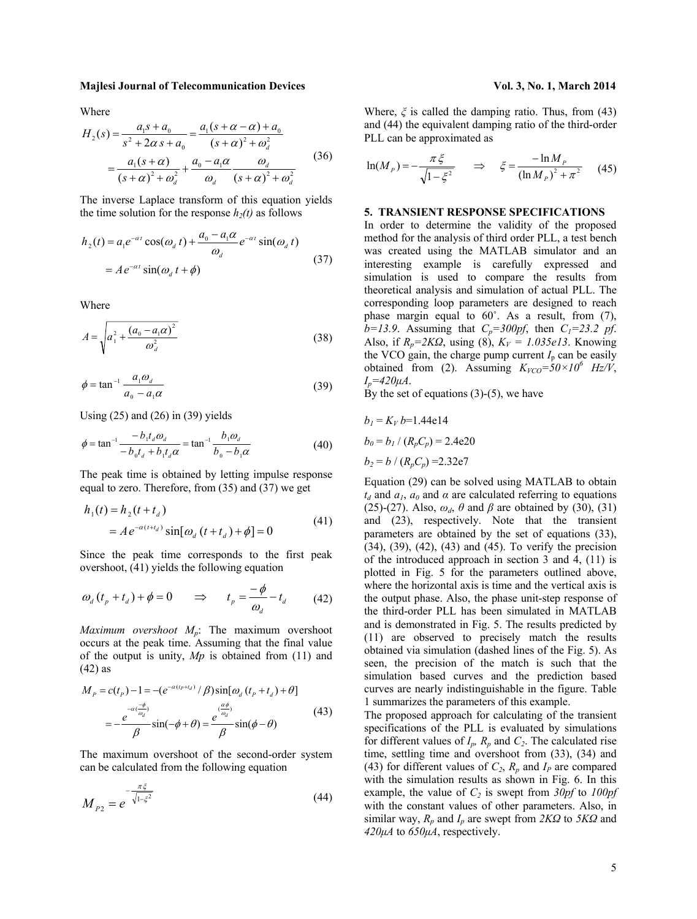Where

$$
H_2(s) = \frac{a_1 s + a_0}{s^2 + 2\alpha s + a_0} = \frac{a_1 (s + \alpha - \alpha) + a_0}{(s + \alpha)^2 + \omega_a^2}
$$
  
= 
$$
\frac{a_1 (s + \alpha)}{(s + \alpha)^2 + \omega_a^2} + \frac{a_0 - a_1 \alpha}{\omega_a} \frac{\omega_a}{(s + \alpha)^2 + \omega_a^2}
$$
(36)

The inverse Laplace transform of this equation yields the time solution for the response  $h_2(t)$  as follows

$$
h_2(t) = a_1 e^{-\alpha t} \cos(\omega_d t) + \frac{a_0 - a_1 \alpha}{\omega_d} e^{-\alpha t} \sin(\omega_d t)
$$
  
=  $A e^{-\alpha t} \sin(\omega_d t + \phi)$  (37)

Where

$$
A = \sqrt{a_1^2 + \frac{(a_0 - a_1\alpha)^2}{\omega_d^2}}
$$
 (38)

$$
\phi = \tan^{-1} \frac{a_1 \omega_d}{a_0 - a_1 \alpha} \tag{39}
$$

Using  $(25)$  and  $(26)$  in  $(39)$  yields

$$
\phi = \tan^{-1} \frac{-b_1 t_d \omega_d}{-b_0 t_d + b_1 t_d \alpha} = \tan^{-1} \frac{b_1 \omega_d}{b_0 - b_1 \alpha}
$$
(40)

The peak time is obtained by letting impulse response equal to zero. Therefore, from (35) and (37) we get

$$
h_1(t) = h_2(t + t_d)
$$
  
=  $A e^{-\alpha(t + t_d)} \sin[\omega_d (t + t_d) + \phi] = 0$  (41)

Since the peak time corresponds to the first peak overshoot, (41) yields the following equation

$$
\omega_{d} (t_{p} + t_{d}) + \phi = 0 \qquad \Rightarrow \qquad t_{p} = \frac{-\phi}{\omega_{d}} - t_{d} \tag{42}
$$

*Maximum overshoot Mp*: The maximum overshoot occurs at the peak time. Assuming that the final value of the output is unity, *Mp* is obtained from (11) and (42) as

$$
M_{P} = c(t_{P}) - 1 = -(e^{-\alpha(t_{P} + t_{d})} / \beta) \sin[\omega_{d} (t_{P} + t_{d}) + \theta]
$$
  

$$
= -\frac{e^{-\alpha(\frac{-\phi}{\omega_{d}})}}{\beta} \sin(-\phi + \theta) = \frac{e^{\frac{\alpha\phi}{\omega_{d}}}}{\beta} \sin(\phi - \theta)
$$
(43)

The maximum overshoot of the second-order system can be calculated from the following equation

$$
M_{P2} = e^{-\frac{\pi\xi}{\sqrt{1-\xi^2}}} \tag{44}
$$

Where,  $\xi$  is called the damping ratio. Thus, from (43) and (44) the equivalent damping ratio of the third-order PLL can be approximated as

$$
\ln(M_P) = -\frac{\pi \xi}{\sqrt{1 - \xi^2}} \quad \Rightarrow \quad \xi = \frac{-\ln M_P}{(\ln M_P)^2 + \pi^2} \quad (45)
$$

# **5. TRANSIENT RESPONSE SPECIFICATIONS**

In order to determine the validity of the proposed method for the analysis of third order PLL, a test bench was created using the MATLAB simulator and an interesting example is carefully expressed and simulation is used to compare the results from theoretical analysis and simulation of actual PLL. The corresponding loop parameters are designed to reach phase margin equal to 60˚. As a result, from (7),  $b=13.9$ . Assuming that  $C_p=300pf$ , then  $C_1=23.2$  pf. Also, if  $R_p = 2KQ$ , using (8),  $K_V = 1.035e13$ . Knowing the VCO gain, the charge pump current  $I_p$  can be easily obtained from (2). Assuming  $K_{VCO} = 50 \times 10^6$  Hz/V,  $I_p = 420 \mu A$ .

By the set of equations  $(3)-(5)$ , we have

$$
b_1 = K_V b = 1.44e14
$$
  
\n
$$
b_0 = b_1 / (R_p C_p) = 2.4e20
$$
  
\n
$$
b_2 = b / (R_p C_p) = 2.32e7
$$

Equation (29) can be solved using MATLAB to obtain  $t_d$  and  $a_1$ ,  $a_0$  and  $\alpha$  are calculated referring to equations (25)-(27). Also,  $\omega_d$ ,  $\theta$  and  $\beta$  are obtained by (30), (31) and (23), respectively. Note that the transient parameters are obtained by the set of equations (33), (34), (39), (42), (43) and (45). To verify the precision of the introduced approach in section 3 and 4, (11) is plotted in Fig. 5 for the parameters outlined above, where the horizontal axis is time and the vertical axis is the output phase. Also, the phase unit-step response of the third-order PLL has been simulated in MATLAB and is demonstrated in Fig. 5. The results predicted by (11) are observed to precisely match the results obtained via simulation (dashed lines of the Fig. 5). As seen, the precision of the match is such that the simulation based curves and the prediction based curves are nearly indistinguishable in the figure. Table 1 summarizes the parameters of this example.

The proposed approach for calculating of the transient specifications of the PLL is evaluated by simulations for different values of  $I_p$ ,  $R_p$  and  $C_2$ . The calculated rise time, settling time and overshoot from (33), (34) and (43) for different values of  $C_2$ ,  $R_p$  and  $I_p$  are compared with the simulation results as shown in Fig. 6. In this example, the value of  $C_2$  is swept from  $30pf$  to  $100pf$ with the constant values of other parameters. Also, in similar way, *Rp* and *Ip* are swept from *2KΩ* to *5KΩ* and  $420\mu A$  to  $650\mu A$ , respectively.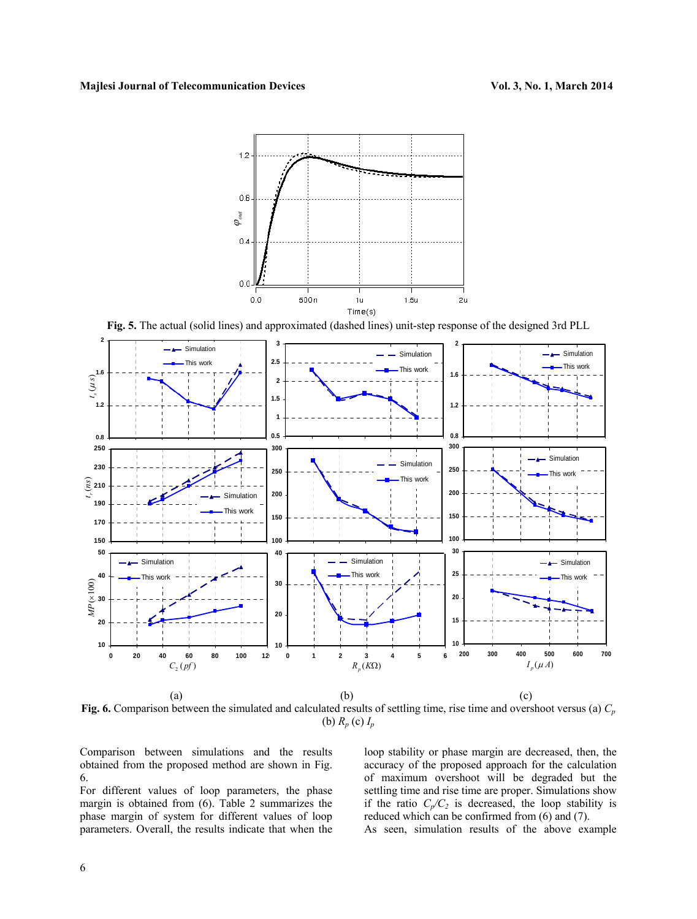

**Fig. 5.** The actual (solid lines) and approximated (dashed lines) unit-step response of the designed 3rd PLL



**Fig. 6.** Comparison between the simulated and calculated results of settling time, rise time and overshoot versus (a)  $C_p$ (b) *Rp* (c) *Ip*

Comparison between simulations and the results obtained from the proposed method are shown in Fig. 6.

For different values of loop parameters, the phase margin is obtained from (6). Table 2 summarizes the phase margin of system for different values of loop parameters. Overall, the results indicate that when the

loop stability or phase margin are decreased, then, the accuracy of the proposed approach for the calculation of maximum overshoot will be degraded but the settling time and rise time are proper. Simulations show if the ratio  $C_p/C_2$  is decreased, the loop stability is reduced which can be confirmed from (6) and (7).

As seen, simulation results of the above example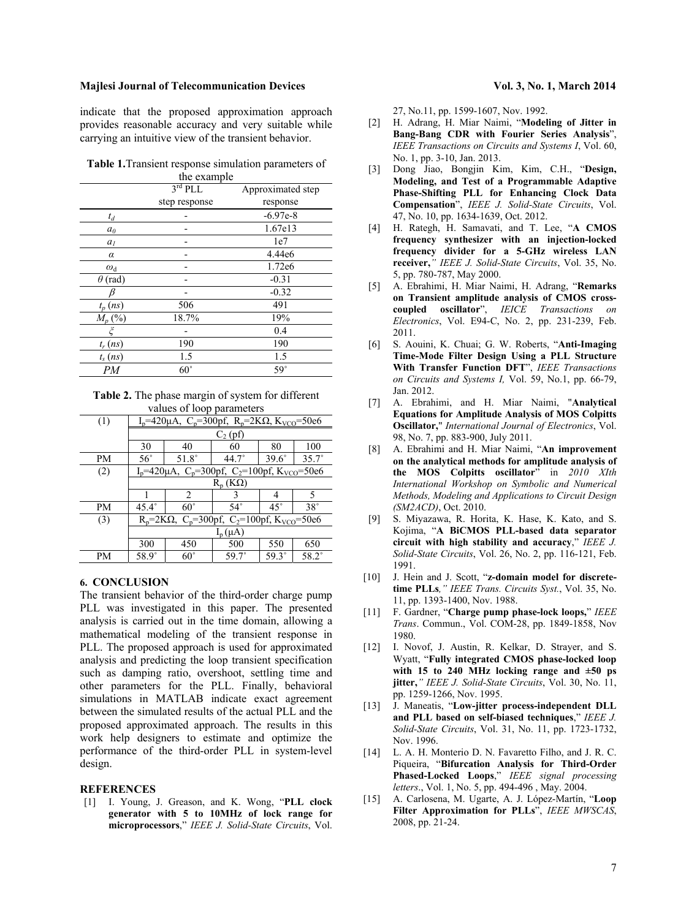indicate that the proposed approximation approach provides reasonable accuracy and very suitable while carrying an intuitive view of the transient behavior.

**Table 1.**Transient response simulation parameters of

|                  | the example         |                   |  |  |  |  |
|------------------|---------------------|-------------------|--|--|--|--|
|                  | 3 <sup>rd</sup> PLL | Approximated step |  |  |  |  |
|                  | step response       | response          |  |  |  |  |
| $t_d$            |                     | $-6.97e-8$        |  |  |  |  |
| a <sub>0</sub>   |                     | 1.67e13           |  |  |  |  |
| a <sub>l</sub>   |                     | 1e7               |  |  |  |  |
| α                |                     | 4.44e6            |  |  |  |  |
| $\omega_{\rm d}$ |                     | 1.72e6            |  |  |  |  |
| $\theta$ (rad)   |                     | $-0.31$           |  |  |  |  |
|                  |                     | $-0.32$           |  |  |  |  |
| $t_p$ (ns)       | 506                 | 491               |  |  |  |  |
| $M_p$ (%)        | 18.7%               | 19%               |  |  |  |  |
| ξ                |                     | 0.4               |  |  |  |  |
| $t_r$ $(ns)$     | 190                 | 190               |  |  |  |  |
| $t_s$ (ns)       | 1.5                 | 1.5               |  |  |  |  |
| PМ               | $60^{\circ}$        | $59^\circ$        |  |  |  |  |

|                           |  |  |  | <b>Table 2.</b> The phase margin of system for different |  |  |
|---------------------------|--|--|--|----------------------------------------------------------|--|--|
| values of loop parameters |  |  |  |                                                          |  |  |

| (1)       | $I_p$ =420μA, C <sub>p</sub> =300pf, R <sub>p</sub> =2KΩ, K <sub>VCO</sub> =50e6         |                |                |              |                |  |  |
|-----------|------------------------------------------------------------------------------------------|----------------|----------------|--------------|----------------|--|--|
|           | $C_2$ (pf)                                                                               |                |                |              |                |  |  |
|           | 30                                                                                       | 40             | 60             | 80           | 100            |  |  |
| <b>PM</b> | $56^{\circ}$                                                                             | $51.8^\circ$   | $44.7^{\circ}$ | $39.6^\circ$ | $35.7^{\circ}$ |  |  |
| (2)       | $I_p$ =420 $\mu$ A, C <sub>p</sub> =300pf, C <sub>2</sub> =100pf, K <sub>VCO</sub> =50e6 |                |                |              |                |  |  |
|           | $R_n(K\Omega)$                                                                           |                |                |              |                |  |  |
|           |                                                                                          | $\overline{c}$ | $\mathbf 3$    | 4            | 5              |  |  |
| <b>PM</b> | $45.4^\circ$                                                                             | $60^{\circ}$   | $54^{\circ}$   | $45^{\circ}$ | $38^\circ$     |  |  |
| (3)       | $R_p = 2K\Omega$ , C <sub>p</sub> =300pf, C <sub>2</sub> =100pf, K <sub>VCO</sub> =50e6  |                |                |              |                |  |  |
|           | $I_p(\mu A)$                                                                             |                |                |              |                |  |  |
|           | 300                                                                                      | 450            | 500            | 550          | 650            |  |  |
| PМ        | 58.9°                                                                                    | $60^{\circ}$   | $59.7^{\circ}$ | $59.3^\circ$ | $58.2^\circ$   |  |  |

# **6. CONCLUSION**

The transient behavior of the third-order charge pump PLL was investigated in this paper. The presented analysis is carried out in the time domain, allowing a mathematical modeling of the transient response in PLL. The proposed approach is used for approximated analysis and predicting the loop transient specification such as damping ratio, overshoot, settling time and other parameters for the PLL. Finally, behavioral simulations in MATLAB indicate exact agreement between the simulated results of the actual PLL and the proposed approximated approach. The results in this work help designers to estimate and optimize the performance of the third-order PLL in system-level design.

### **REFERENCES**

[1] I. Young, J. Greason, and K. Wong, "**PLL clock generator with 5 to 10MHz of lock range for microprocessors**," *IEEE J. Solid-State Circuits*, Vol.

27, No.11, pp. 1599-1607, Nov. 1992.

- [2] H. Adrang, H. Miar Naimi, "**Modeling of Jitter in Bang-Bang CDR with Fourier Series Analysis**", *IEEE Transactions on Circuits and Systems I*, Vol. 60, No. 1, pp. 3-10, Jan. 2013.
- [3] Dong Jiao, Bongjin Kim, Kim, C.H., "**Design, Modeling, and Test of a Programmable Adaptive Phase-Shifting PLL for Enhancing Clock Data Compensation**", *IEEE J. Solid-State Circuits*, Vol. 47, No. 10, pp. 1634-1639, Oct. 2012.
- [4] H. Rategh, H. Samavati, and T. Lee, "**A CMOS frequency synthesizer with an injection-locked frequency divider for a 5-GHz wireless LAN receiver,***" IEEE J. Solid-State Circuits*, Vol. 35, No. 5, pp. 780-787, May 2000.
- [5] A. Ebrahimi, H. Miar Naimi, H. Adrang, "**Remarks on Transient amplitude analysis of CMOS crosscoupled oscillator**", *IEICE Transactions on Electronics*, Vol. E94-C, No. 2, pp. 231-239, Feb. 2011.
- [6] S. Aouini, K. Chuai; G. W. Roberts, "**Anti-Imaging Time-Mode Filter Design Using a PLL Structure With Transfer Function DFT**", *IEEE Transactions on Circuits and Systems I,* Vol. 59, No.1, pp. 66-79, Jan. 2012.
- [7] A. Ebrahimi, and H. Miar Naimi, "**Analytical Equations for Amplitude Analysis of MOS Colpitts Oscillator,**" *International Journal of Electronics*, Vol. 98, No. 7, pp. 883-900, July 2011.
- [8] A. Ebrahimi and H. Miar Naimi, "**An improvement on the analytical methods for amplitude analysis of the MOS Colpitts oscillator**" in *2010 XIth International Workshop on Symbolic and Numerical Methods, Modeling and Applications to Circuit Design (SM2ACD)*, Oct. 2010.
- [9] S. Miyazawa, R. Horita, K. Hase, K. Kato, and S. Kojima, "**A BiCMOS PLL-based data separator circuit with high stability and accuracy**," *IEEE J. Solid-State Circuits*, Vol. 26, No. 2, pp. 116-121, Feb. 1991.
- [10] J. Hein and J. Scott, "**z-domain model for discretetime PLLs***," IEEE Trans. Circuits Syst.*, Vol. 35, No. 11, pp. 1393-1400, Nov. 1988.
- [11] F. Gardner, "**Charge pump phase-lock loops,**" *IEEE Trans*. Commun., Vol. COM-28, pp. 1849-1858, Nov 1980.
- [12] I. Novof, J. Austin, R. Kelkar, D. Strayer, and S. Wyatt, "**Fully integrated CMOS phase-locked loop with 15 to 240 MHz locking range and ±50 ps jitter,***" IEEE J. Solid-State Circuits*, Vol. 30, No. 11, pp. 1259-1266, Nov. 1995.
- [13] J. Maneatis, "**Low-jitter process-independent DLL and PLL based on self-biased techniques**," *IEEE J. Solid-State Circuits*, Vol. 31, No. 11, pp. 1723-1732, Nov. 1996.
- [14] L. A. H. Monterio D. N. Favaretto Filho, and J. R. C. Piqueira, "**Bifurcation Analysis for Third-Order Phased-Locked Loops**," *IEEE signal processing letters*., Vol. 1, No. 5, pp. 494-496 , May. 2004.
- [15] A. Carlosena, M. Ugarte, A. J. López-Martín, "**Loop Filter Approximation for PLLs**", *IEEE MWSCAS*, 2008, pp. 21-24.